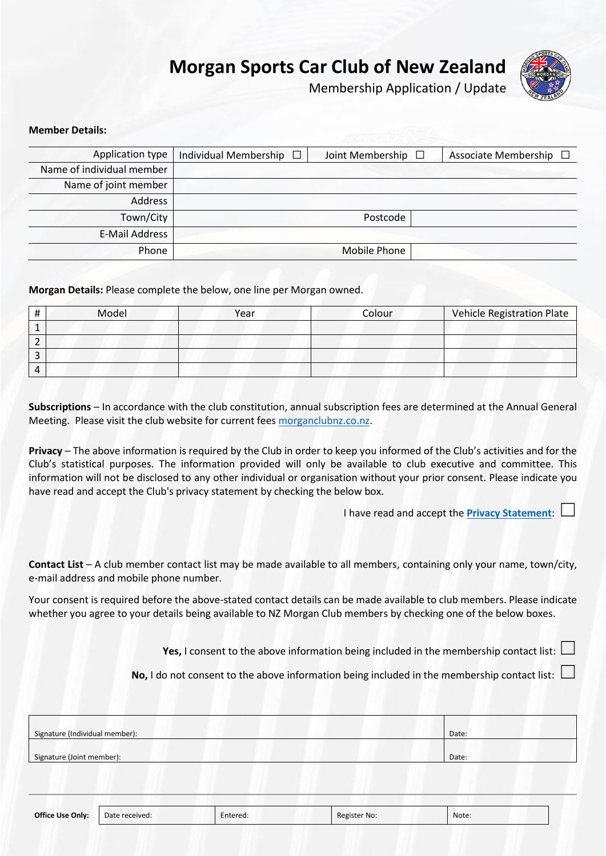# **Morgan Sports Car Club of New Zealand**



Membership Application / Update

## **Member Details:**

| Application type          | Individual Membership □ | Joint Membership $\Box$ | Associate Membership $\Box$ |
|---------------------------|-------------------------|-------------------------|-----------------------------|
| Name of individual member |                         |                         |                             |
| Name of joint member      |                         |                         |                             |
| Address                   |                         |                         |                             |
| Town/City                 |                         | Postcode                |                             |
| E-Mail Address            |                         |                         |                             |
| Phone                     |                         | Mobile Phone            |                             |

**Morgan Details:** Please complete the below, one line per Morgan owned.

|                | Model | Year | Colour | <b>Vehicle Registration Plate</b> |
|----------------|-------|------|--------|-----------------------------------|
|                |       |      |        |                                   |
|                |       |      |        |                                   |
|                |       |      |        |                                   |
| $\overline{ }$ |       |      |        |                                   |

**Subscriptions** – In accordance with the club constitution, annual subscription fees are determined at the Annual General Meeting. Please visit the club website for current fee[s morganclubnz.co.nz.](http://morganclubnz.co.nz/join.html)

**Privacy** – The above information is required by the Club in order to keep you informed of the Club's activities and for the Club's statistical purposes. The information provided will only be available to club executive and committee. This information will not be disclosed to any other individual or organisation without your prior consent. Please indicate you have read and accept the Club's privacy statement by checking the below box.

I have read and accept the **[Privacy Statement](http://morganclubnz.co.nz/privacy.html):** 

**Contact List** – A club member contact list may be made available to all members, containing only your name, town/city, e-mail address and mobile phone number.

Your consent is required before the above-stated contact details can be made available to club members. Please indicate whether you agree to your details being available to NZ Morgan Club members by checking one of the below boxes.

**Yes, I** consent to the above information being included in the membership contact list:  $\Box$ 

**No, I** do not consent to the above information being included in the membership contact list: L

| Signature (Individual member): | Date: |
|--------------------------------|-------|
|                                |       |
| Signature (Joint member):      | Date: |

| <b>Office Use Only:</b> | Date received: | Entered: | Register No: | Note. |
|-------------------------|----------------|----------|--------------|-------|
|-------------------------|----------------|----------|--------------|-------|